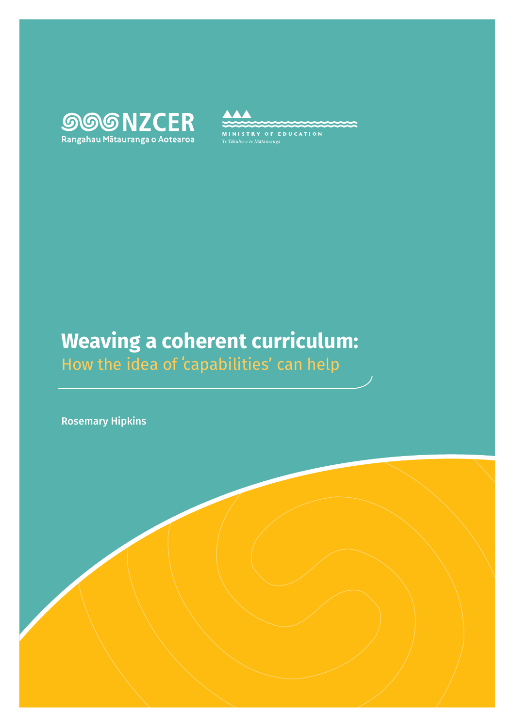



# **Weaving a coherent curriculum:**  How the idea of ʻcapabilities' can help

Rosemary Hipkins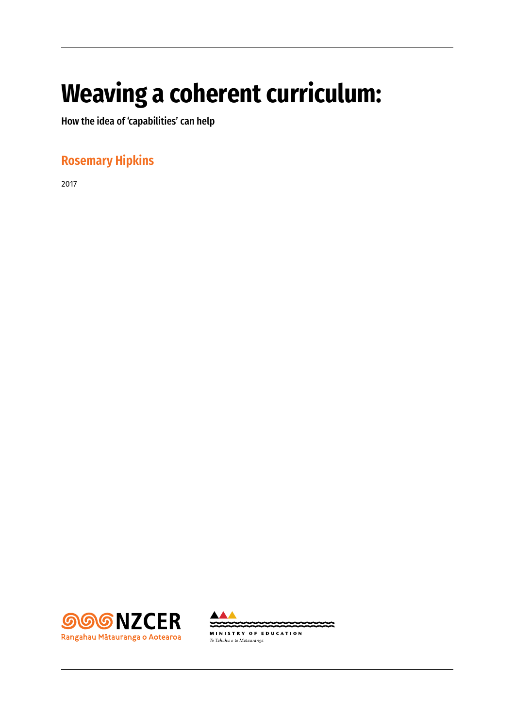# **Weaving a coherent curriculum:**

How the idea of 'capabilities' can help

# **Rosemary Hipkins**

2017



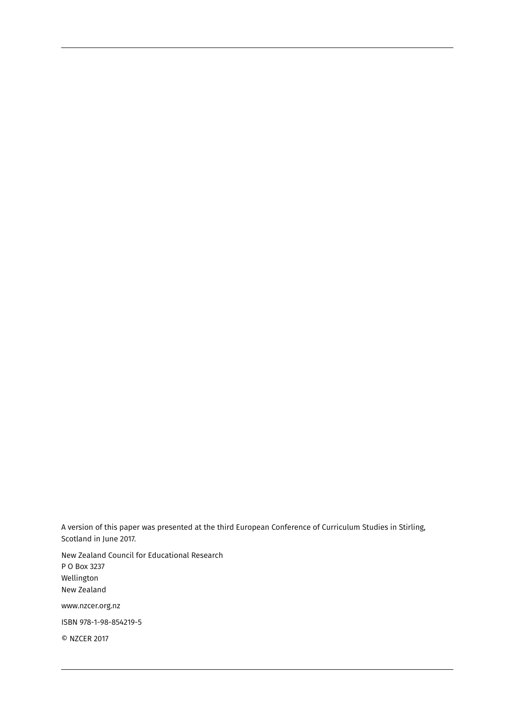A version of this paper was presented at the third European Conference of Curriculum Studies in Stirling, Scotland in June 2017.

New Zealand Council for Educational Research P O Box 3237 Wellington New Zealand www.nzcer.org.nz ISBN 978-1-98-854219-5

© NZCER 2017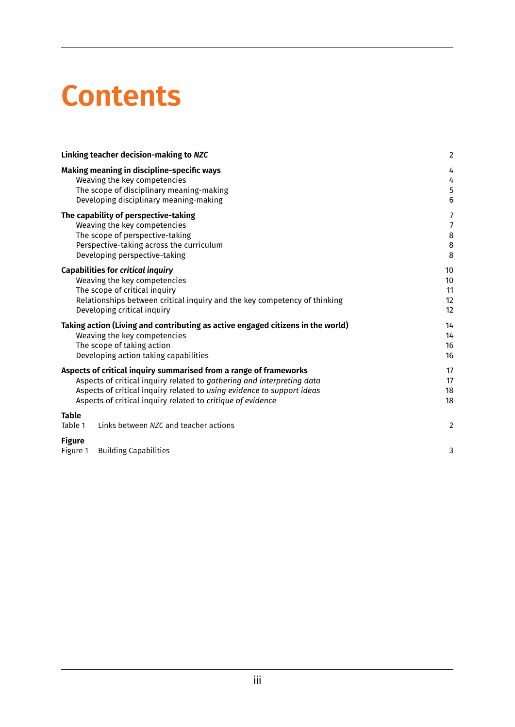# **Contents**

|                                                                                                                                                                                                                                                                                      | Linking teacher decision-making to NZC                                                                                                                                                                                | $\overline{\mathbf{c}}$    |
|--------------------------------------------------------------------------------------------------------------------------------------------------------------------------------------------------------------------------------------------------------------------------------------|-----------------------------------------------------------------------------------------------------------------------------------------------------------------------------------------------------------------------|----------------------------|
|                                                                                                                                                                                                                                                                                      | Making meaning in discipline-specific ways<br>Weaving the key competencies<br>The scope of disciplinary meaning-making<br>Developing disciplinary meaning-making                                                      | 4<br>4<br>5<br>6           |
|                                                                                                                                                                                                                                                                                      | The capability of perspective-taking<br>Weaving the key competencies<br>The scope of perspective-taking<br>Perspective-taking across the curriculum<br>Developing perspective-taking                                  | 7<br>7<br>8<br>8<br>8      |
|                                                                                                                                                                                                                                                                                      | <b>Capabilities for critical inquiry</b><br>Weaving the key competencies<br>The scope of critical inquiry<br>Relationships between critical inquiry and the key competency of thinking<br>Developing critical inquiry | 10<br>10<br>11<br>12<br>12 |
| Taking action (Living and contributing as active engaged citizens in the world)<br>Weaving the key competencies<br>The scope of taking action<br>Developing action taking capabilities                                                                                               |                                                                                                                                                                                                                       | 14<br>14<br>16<br>16       |
| Aspects of critical inquiry summarised from a range of frameworks<br>Aspects of critical inquiry related to gathering and interpreting data<br>Aspects of critical inquiry related to using evidence to support ideas<br>Aspects of critical inquiry related to critique of evidence |                                                                                                                                                                                                                       | 17<br>17<br>18<br>18       |
| <b>Table</b><br>Table 1                                                                                                                                                                                                                                                              | Links between NZC and teacher actions                                                                                                                                                                                 | $\overline{2}$             |
| <b>Figure</b><br>Figure 1                                                                                                                                                                                                                                                            | <b>Building Capabilities</b>                                                                                                                                                                                          | 3                          |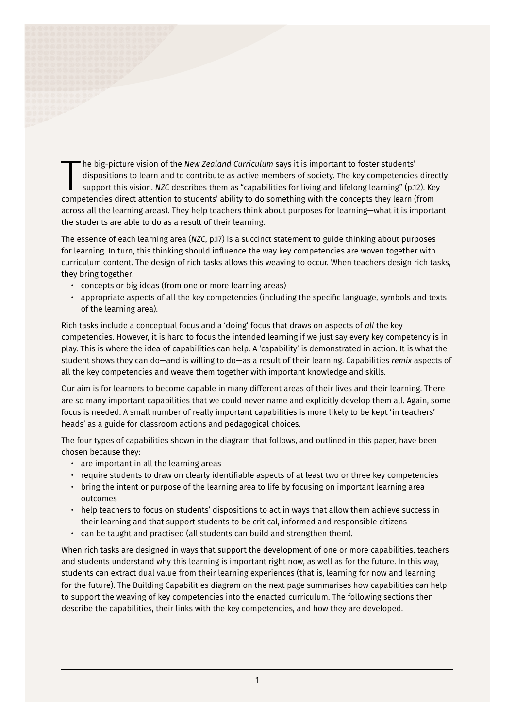he big-picture vision of the *New Zealand Curriculum* says it is important to foster students' dispositions to learn and to contribute as active members of society. The key competencies direct support this vision. *NZC* de he big-picture vision of the *New Zealand Curriculum* says it is important to foster students' dispositions to learn and to contribute as active members of society. The key competencies directly support this vision. *NZC* describes them as "capabilities for living and lifelong learning" (p.12). Key across all the learning areas). They help teachers think about purposes for learning—what it is important the students are able to do as a result of their learning.

The essence of each learning area (*NZC*, p.17) is a succinct statement to guide thinking about purposes for learning. In turn, this thinking should influence the way key competencies are woven together with curriculum content. The design of rich tasks allows this weaving to occur. When teachers design rich tasks, they bring together:

- concepts or big ideas (from one or more learning areas)
- appropriate aspects of all the key competencies (including the specific language, symbols and texts of the learning area).

Rich tasks include a conceptual focus and a 'doing' focus that draws on aspects of *all* the key competencies. However, it is hard to focus the intended learning if we just say every key competency is in play. This is where the idea of capabilities can help. A 'capability' is demonstrated in action. It is what the student shows they can do—and is willing to do—as a result of their learning. Capabilities *remix* aspects of all the key competencies and weave them together with important knowledge and skills.

Our aim is for learners to become capable in many different areas of their lives and their learning. There are so many important capabilities that we could never name and explicitly develop them all. Again, some focus is needed. A small number of really important capabilities is more likely to be kept 'in teachers' heads' as a guide for classroom actions and pedagogical choices.

The four types of capabilities shown in the diagram that follows, and outlined in this paper, have been chosen because they:

- are important in all the learning areas
- require students to draw on clearly identifiable aspects of at least two or three key competencies
- bring the intent or purpose of the learning area to life by focusing on important learning area outcomes
- help teachers to focus on students' dispositions to act in ways that allow them achieve success in their learning and that support students to be critical, informed and responsible citizens
- can be taught and practised (all students can build and strengthen them).

When rich tasks are designed in ways that support the development of one or more capabilities, teachers and students understand why this learning is important right now, as well as for the future. In this way, students can extract dual value from their learning experiences (that is, learning for now and learning for the future). The Building Capabilities diagram on the next page summarises how capabilities can help to support the weaving of key competencies into the enacted curriculum. The following sections then describe the capabilities, their links with the key competencies, and how they are developed.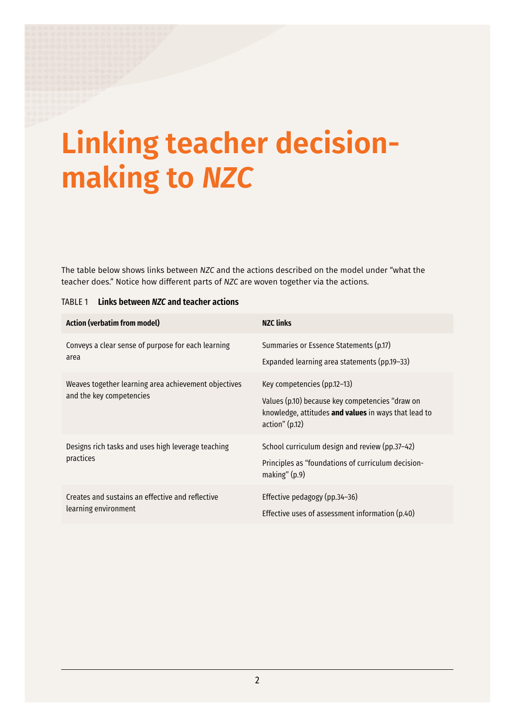# <span id="page-7-0"></span>**Linking teacher decisionmaking to** *NZC*

The table below shows links between *NZC* and the actions described on the model under "what the teacher does." Notice how different parts of *NZC* are woven together via the actions.

| <b>Action (verbatim from model)</b>                                              | <b>NZC links</b>                                                                                                                                         |
|----------------------------------------------------------------------------------|----------------------------------------------------------------------------------------------------------------------------------------------------------|
| Conveys a clear sense of purpose for each learning<br>area                       | Summaries or Essence Statements (p.17)<br>Expanded learning area statements (pp.19-33)                                                                   |
| Weaves together learning area achievement objectives<br>and the key competencies | Key competencies (pp.12-13)<br>Values (p.10) because key competencies "draw on<br>knowledge, attitudes and values in ways that lead to<br>action''(p.12) |
| Designs rich tasks and uses high leverage teaching<br>practices                  | School curriculum design and review (pp.37-42)<br>Principles as "foundations of curriculum decision-<br>making" $(p.9)$                                  |
| Creates and sustains an effective and reflective<br>learning environment         | Effective pedagogy (pp.34-36)<br>Effective uses of assessment information (p.40)                                                                         |

#### TABLE 1 **Links between** *NZC* **and teacher actions**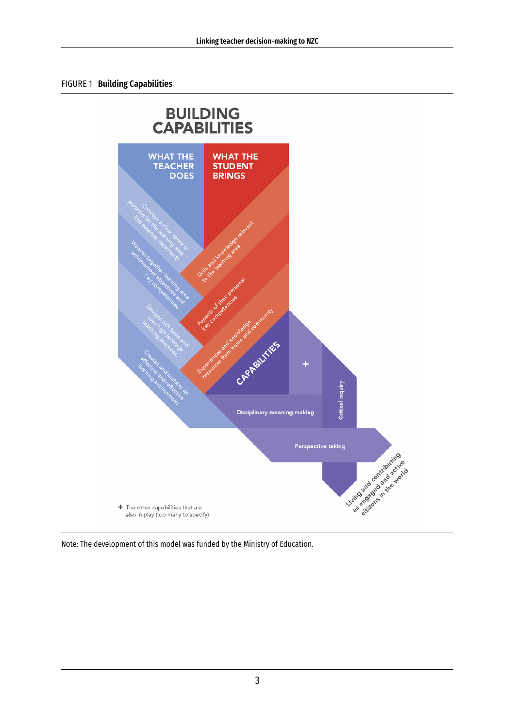#### <span id="page-8-0"></span>FIGURE 1 **Building Capabilities**



Note: The development of this model was funded by the Ministry of Education.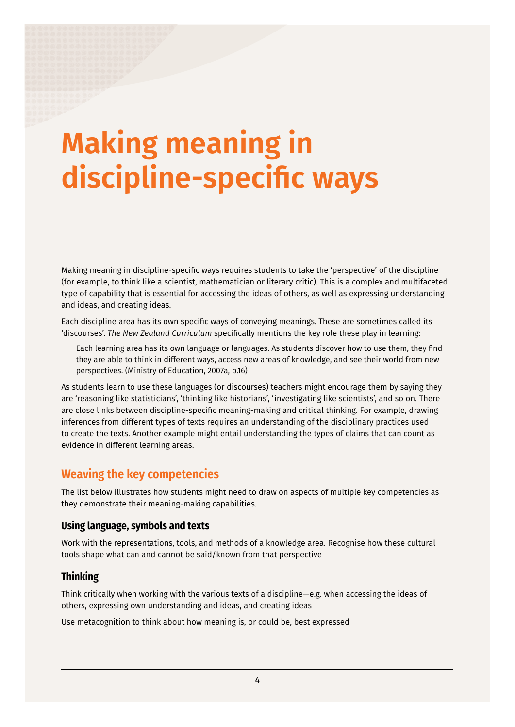# <span id="page-9-0"></span>**Making meaning in discipline-specific ways**

Making meaning in discipline-specific ways requires students to take the 'perspective' of the discipline (for example, to think like a scientist, mathematician or literary critic). This is a complex and multifaceted type of capability that is essential for accessing the ideas of others, as well as expressing understanding and ideas, and creating ideas.

Each discipline area has its own specific ways of conveying meanings. These are sometimes called its 'discourses'. *The New Zealand Curriculum* specifically mentions the key role these play in learning:

Each learning area has its own language or languages. As students discover how to use them, they find they are able to think in different ways, access new areas of knowledge, and see their world from new perspectives. (Ministry of Education, 2007a, p.16)

As students learn to use these languages (or discourses) teachers might encourage them by saying they are 'reasoning like statisticians', 'thinking like historians', 'investigating like scientists', and so on. There are close links between discipline-specific meaning-making and critical thinking. For example, drawing inferences from different types of texts requires an understanding of the disciplinary practices used to create the texts. Another example might entail understanding the types of claims that can count as evidence in different learning areas.

## **Weaving the key competencies**

The list below illustrates how students might need to draw on aspects of multiple key competencies as they demonstrate their meaning-making capabilities.

#### **Using language, symbols and texts**

Work with the representations, tools, and methods of a knowledge area. Recognise how these cultural tools shape what can and cannot be said/known from that perspective

#### **Thinking**

Think critically when working with the various texts of a discipline—e.g. when accessing the ideas of others, expressing own understanding and ideas, and creating ideas

Use metacognition to think about how meaning is, or could be, best expressed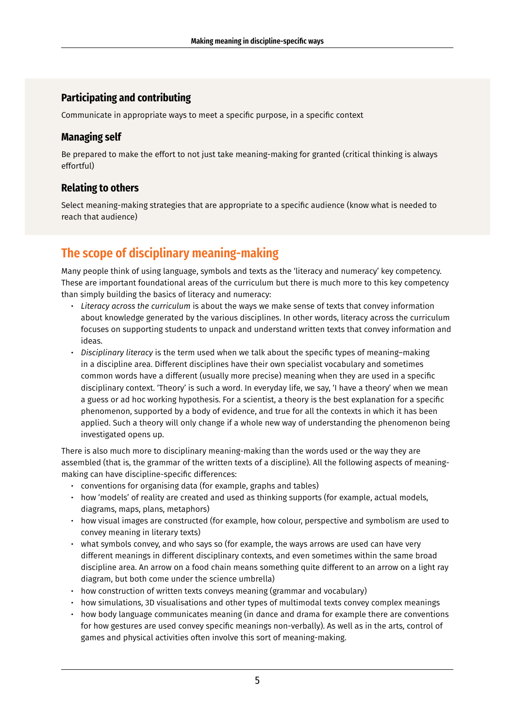## <span id="page-10-0"></span>**Participating and contributing**

Communicate in appropriate ways to meet a specific purpose, in a specific context

## **Managing self**

Be prepared to make the effort to not just take meaning-making for granted (critical thinking is always effortful)

## **Relating to others**

Select meaning-making strategies that are appropriate to a specific audience (know what is needed to reach that audience)

# **The scope of disciplinary meaning-making**

Many people think of using language, symbols and texts as the 'literacy and numeracy' key competency. These are important foundational areas of the curriculum but there is much more to this key competency than simply building the basics of literacy and numeracy:

- *Literacy across the curriculum* is about the ways we make sense of texts that convey information about knowledge generated by the various disciplines. In other words, literacy across the curriculum focuses on supporting students to unpack and understand written texts that convey information and ideas.
- *Disciplinary literacy* is the term used when we talk about the specific types of meaning–making in a discipline area. Different disciplines have their own specialist vocabulary and sometimes common words have a different (usually more precise) meaning when they are used in a specific disciplinary context. 'Theory' is such a word. In everyday life, we say, 'I have a theory' when we mean a guess or ad hoc working hypothesis. For a scientist, a theory is the best explanation for a specific phenomenon, supported by a body of evidence, and true for all the contexts in which it has been applied. Such a theory will only change if a whole new way of understanding the phenomenon being investigated opens up.

There is also much more to disciplinary meaning-making than the words used or the way they are assembled (that is, the grammar of the written texts of a discipline). All the following aspects of meaningmaking can have discipline-specific differences:

- conventions for organising data (for example, graphs and tables)
- how 'models' of reality are created and used as thinking supports (for example, actual models, diagrams, maps, plans, metaphors)
- how visual images are constructed (for example, how colour, perspective and symbolism are used to convey meaning in literary texts)
- what symbols convey, and who says so (for example, the ways arrows are used can have very different meanings in different disciplinary contexts, and even sometimes within the same broad discipline area. An arrow on a food chain means something quite different to an arrow on a light ray diagram, but both come under the science umbrella)
- how construction of written texts conveys meaning (grammar and vocabulary)
- how simulations, 3D visualisations and other types of multimodal texts convey complex meanings
- how body language communicates meaning (in dance and drama for example there are conventions for how gestures are used convey specific meanings non-verbally). As well as in the arts, control of games and physical activities often involve this sort of meaning-making.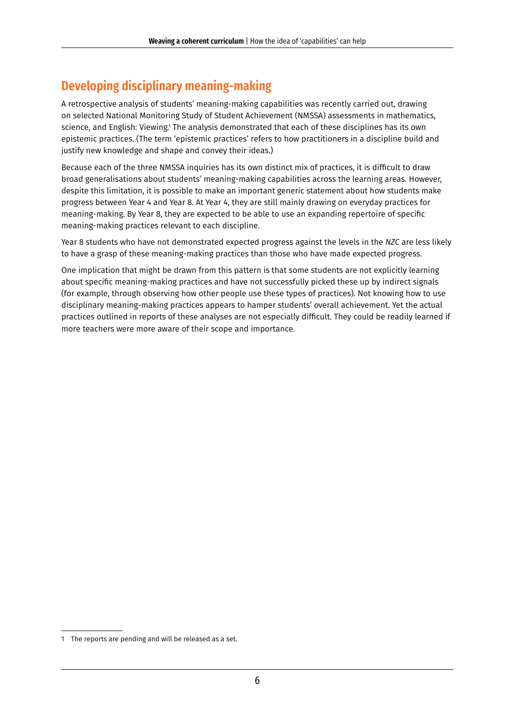# <span id="page-11-0"></span>**Developing disciplinary meaning-making**

A retrospective analysis of students' meaning-making capabilities was recently carried out, drawing on selected National Monitoring Study of Student Achievement (NMSSA) assessments in mathematics, science, and English: Viewing.<sup>1</sup> The analysis demonstrated that each of these disciplines has its own epistemic practices. (The term 'epistemic practices' refers to how practitioners in a discipline build and justify new knowledge and shape and convey their ideas.)

Because each of the three NMSSA inquiries has its own distinct mix of practices, it is difficult to draw broad generalisations about students' meaning-making capabilities across the learning areas. However, despite this limitation, it is possible to make an important generic statement about how students make progress between Year 4 and Year 8. At Year 4, they are still mainly drawing on everyday practices for meaning-making. By Year 8, they are expected to be able to use an expanding repertoire of specific meaning-making practices relevant to each discipline.

Year 8 students who have not demonstrated expected progress against the levels in the *NZC* are less likely to have a grasp of these meaning-making practices than those who have made expected progress.

One implication that might be drawn from this pattern is that some students are not explicitly learning about specific meaning-making practices and have not successfully picked these up by indirect signals (for example, through observing how other people use these types of practices). Not knowing how to use disciplinary meaning-making practices appears to hamper students' overall achievement. Yet the actual practices outlined in reports of these analyses are not especially difficult. They could be readily learned if more teachers were more aware of their scope and importance.

<sup>1</sup> The reports are pending and will be released as a set.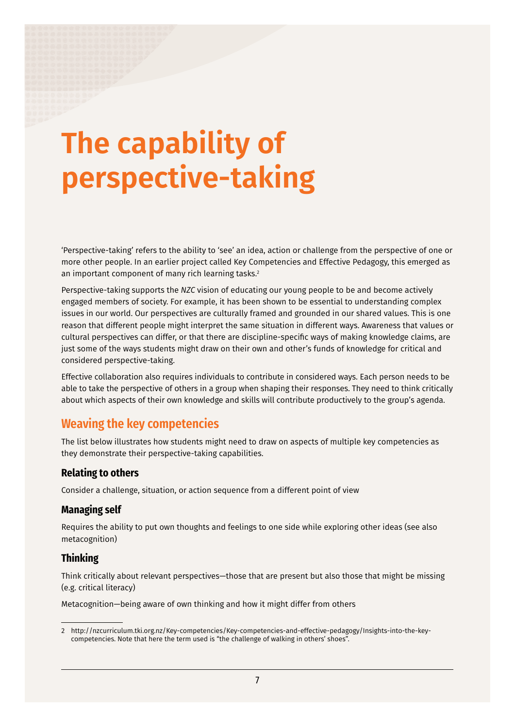# <span id="page-12-0"></span>**The capability of perspective-taking**

'Perspective-taking' refers to the ability to 'see' an idea, action or challenge from the perspective of one or more other people. In an earlier project called Key Competencies and Effective Pedagogy, this emerged as an important component of many rich learning tasks.<sup>2</sup>

Perspective-taking supports the *NZC* vision of educating our young people to be and become actively engaged members of society. For example, it has been shown to be essential to understanding complex issues in our world. Our perspectives are culturally framed and grounded in our shared values. This is one reason that different people might interpret the same situation in different ways. Awareness that values or cultural perspectives can differ, or that there are discipline-specific ways of making knowledge claims, are just some of the ways students might draw on their own and other's funds of knowledge for critical and considered perspective-taking.

Effective collaboration also requires individuals to contribute in considered ways. Each person needs to be able to take the perspective of others in a group when shaping their responses. They need to think critically about which aspects of their own knowledge and skills will contribute productively to the group's agenda.

# **Weaving the key competencies**

The list below illustrates how students might need to draw on aspects of multiple key competencies as they demonstrate their perspective-taking capabilities.

### **Relating to others**

Consider a challenge, situation, or action sequence from a different point of view

### **Managing self**

Requires the ability to put own thoughts and feelings to one side while exploring other ideas (see also metacognition)

### **Thinking**

Think critically about relevant perspectives—those that are present but also those that might be missing (e.g. critical literacy)

Metacognition—being aware of own thinking and how it might differ from others

<sup>2</sup> [http://nzcurriculum.tki.org.nz/Key-competencies/Key-competencies-and-effective-pedagogy/Insights-into-the-key](http://nzcurriculum.tki.org.nz/Key-competencies/Key-competencies-and-effective-pedagogy/Insights-into-the-key-competencies)[competencies](http://nzcurriculum.tki.org.nz/Key-competencies/Key-competencies-and-effective-pedagogy/Insights-into-the-key-competencies). Note that here the term used is "the challenge of walking in others' shoes".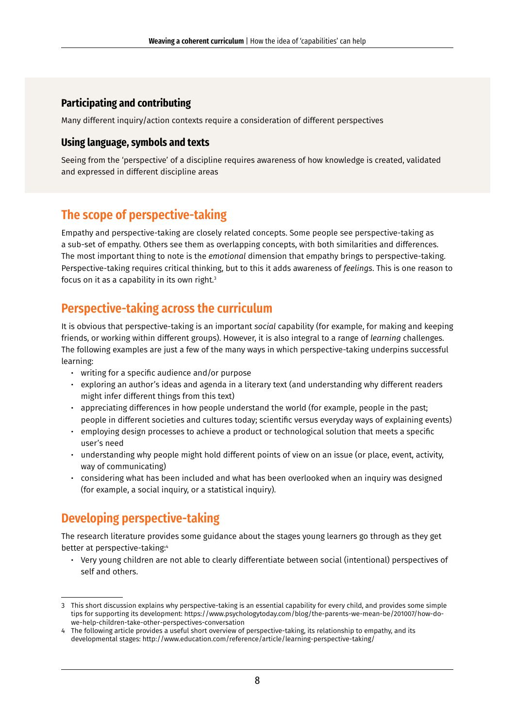## <span id="page-13-0"></span>**Participating and contributing**

Many different inquiry/action contexts require a consideration of different perspectives

#### **Using language, symbols and texts**

Seeing from the 'perspective' of a discipline requires awareness of how knowledge is created, validated and expressed in different discipline areas

# **The scope of perspective-taking**

Empathy and perspective-taking are closely related concepts. Some people see perspective-taking as a sub-set of empathy. Others see them as overlapping concepts, with both similarities and differences. The most important thing to note is the *emotional* dimension that empathy brings to perspective-taking. Perspective-taking requires critical thinking, but to this it adds awareness of *feelings*. This is one reason to focus on it as a capability in its own right.<sup>3</sup>

# **Perspective-taking across the curriculum**

It is obvious that perspective-taking is an important *social* capability (for example, for making and keeping friends, or working within different groups). However, it is also integral to a range of *learning* challenges. The following examples are just a few of the many ways in which perspective-taking underpins successful learning:

- writing for a specific audience and/or purpose
- exploring an author's ideas and agenda in a literary text (and understanding why different readers might infer different things from this text)
- appreciating differences in how people understand the world (for example, people in the past; people in different societies and cultures today; scientific versus everyday ways of explaining events)
- employing design processes to achieve a product or technological solution that meets a specific user's need
- understanding why people might hold different points of view on an issue (or place, event, activity, way of communicating)
- considering what has been included and what has been overlooked when an inquiry was designed (for example, a social inquiry, or a statistical inquiry).

# **Developing perspective-taking**

The research literature provides some guidance about the stages young learners go through as they get better at perspective-taking:4

• Very young children are not able to clearly differentiate between social (intentional) perspectives of self and others.

<sup>3</sup> This short discussion explains why perspective-taking is an essential capability for every child, and provides some simple tips for supporting its development: [https://www.psychologytoday.com/blog/the-parents-we-mean-be/201007/how-do](https://www.psychologytoday.com/blog/the-parents-we-mean-be/201007/how-do-we-help-children-take-other-perspectives-conversation)[we-help-children-take-other-perspectives-conversation](https://www.psychologytoday.com/blog/the-parents-we-mean-be/201007/how-do-we-help-children-take-other-perspectives-conversation)

<sup>4</sup> The following article provides a useful short overview of perspective-taking, its relationship to empathy, and its developmental stages: <http://www.education.com/reference/article/learning-perspective-taking/>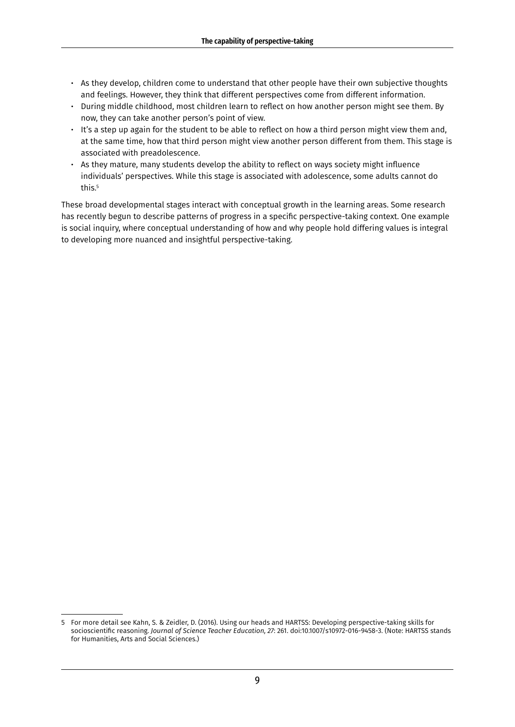- As they develop, children come to understand that other people have their own subjective thoughts and feelings. However, they think that different perspectives come from different information.
- During middle childhood, most children learn to reflect on how another person might see them. By now, they can take another person's point of view.
- It's a step up again for the student to be able to reflect on how a third person might view them and, at the same time, how that third person might view another person different from them. This stage is associated with preadolescence.
- As they mature, many students develop the ability to reflect on ways society might influence individuals' perspectives. While this stage is associated with adolescence, some adults cannot do this.<sup>5</sup>

These broad developmental stages interact with conceptual growth in the learning areas. Some research has recently begun to describe patterns of progress in a specific perspective-taking context. One example is social inquiry, where conceptual understanding of how and why people hold differing values is integral to developing more nuanced and insightful perspective-taking.

<sup>5</sup> For more detail see Kahn, S. & Zeidler, D. (2016). Using our heads and HARTSS: Developing perspective-taking skills for socioscientific reasoning. *Journal of Science Teacher Education, 27*: 261. doi:10.1007/s10972-016-9458-3. (Note: HARTSS stands for Humanities, Arts and Social Sciences.)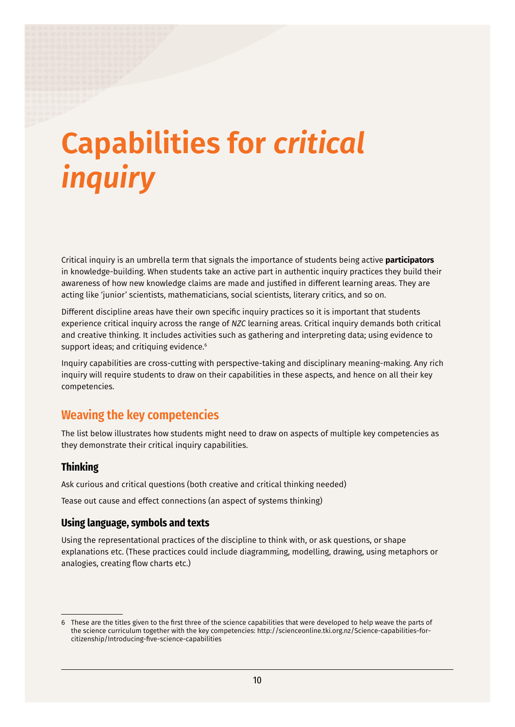# <span id="page-15-0"></span>**Capabilities for** *critical inquiry*

Critical inquiry is an umbrella term that signals the importance of students being active **participators** in knowledge-building. When students take an active part in authentic inquiry practices they build their awareness of how new knowledge claims are made and justified in different learning areas. They are acting like 'junior' scientists, mathematicians, social scientists, literary critics, and so on.

Different discipline areas have their own specific inquiry practices so it is important that students experience critical inquiry across the range of *NZC* learning areas. Critical inquiry demands both critical and creative thinking. It includes activities such as gathering and interpreting data; using evidence to support ideas; and critiquing evidence.<sup>6</sup>

Inquiry capabilities are cross-cutting with perspective-taking and disciplinary meaning-making. Any rich inquiry will require students to draw on their capabilities in these aspects, and hence on all their key competencies.

## **Weaving the key competencies**

The list below illustrates how students might need to draw on aspects of multiple key competencies as they demonstrate their critical inquiry capabilities.

#### **Thinking**

Ask curious and critical questions (both creative and critical thinking needed)

Tease out cause and effect connections (an aspect of systems thinking)

#### **Using language, symbols and texts**

Using the representational practices of the discipline to think with, or ask questions, or shape explanations etc. (These practices could include diagramming, modelling, drawing, using metaphors or analogies, creating flow charts etc.)

<sup>6</sup> These are the titles given to the first three of the science capabilities that were developed to help weave the parts of the science curriculum together with the key competencies: [http://scienceonline.tki.org.nz/Science-capabilities-for](http://scienceonline.tki.org.nz/Science-capabilities-for-citizenship/Introducing-five-science-capabilities)[citizenship/Introducing-five-science-capabilities](http://scienceonline.tki.org.nz/Science-capabilities-for-citizenship/Introducing-five-science-capabilities)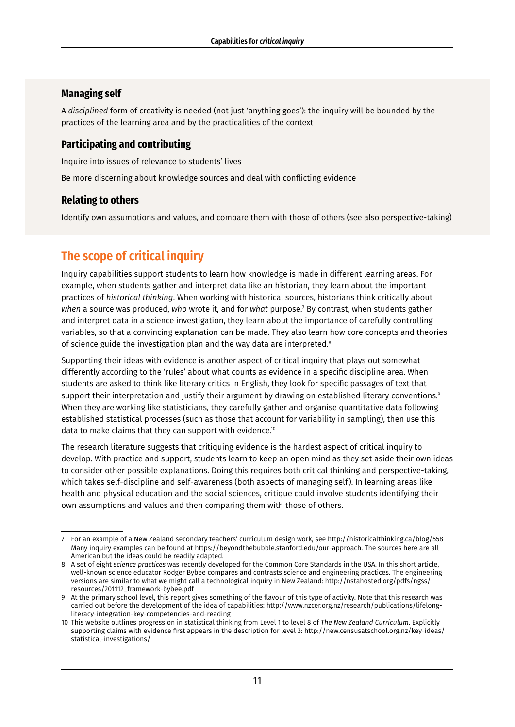## <span id="page-16-0"></span>**Managing self**

A *disciplined* form of creativity is needed (not just 'anything goes'): the inquiry will be bounded by the practices of the learning area and by the practicalities of the context

## **Participating and contributing**

Inquire into issues of relevance to students' lives

Be more discerning about knowledge sources and deal with conflicting evidence

## **Relating to others**

Identify own assumptions and values, and compare them with those of others (see also perspective-taking)

# **The scope of critical inquiry**

Inquiry capabilities support students to learn how knowledge is made in different learning areas. For example, when students gather and interpret data like an historian, they learn about the important practices of *historical thinking*. When working with historical sources, historians think critically about *when* a source was produced, *who* wrote it, and for *what* purpose.7 By contrast, when students gather and interpret data in a science investigation, they learn about the importance of carefully controlling variables, so that a convincing explanation can be made. They also learn how core concepts and theories of science guide the investigation plan and the way data are interpreted.<sup>8</sup>

Supporting their ideas with evidence is another aspect of critical inquiry that plays out somewhat differently according to the 'rules' about what counts as evidence in a specific discipline area. When students are asked to think like literary critics in English, they look for specific passages of text that support their interpretation and justify their argument by drawing on established literary conventions.<sup>9</sup> When they are working like statisticians, they carefully gather and organise quantitative data following established statistical processes (such as those that account for variability in sampling), then use this data to make claims that they can support with evidence.<sup>10</sup>

The research literature suggests that critiquing evidence is the hardest aspect of critical inquiry to develop. With practice and support, students learn to keep an open mind as they set aside their own ideas to consider other possible explanations. Doing this requires both critical thinking and perspective-taking, which takes self-discipline and self-awareness (both aspects of managing self). In learning areas like health and physical education and the social sciences, critique could involve students identifying their own assumptions and values and then comparing them with those of others.

<sup>7</sup> For an example of a New Zealand secondary teachers' curriculum design work, see<http://historicalthinking.ca/blog/558> Many inquiry examples can be found at [https://beyondthebubble.stanford.edu/our-approach.](https://beyondthebubble.stanford.edu/our-approach) The sources here are all American but the ideas could be readily adapted.

<sup>8</sup> A set of eight *science practices* was recently developed for the Common Core Standards in the USA. In this short article, well-known science educator Rodger Bybee compares and contrasts science and engineering practices. The engineering versions are similar to what we might call a technological inquiry in New Zealand: [http://nstahosted.org/pdfs/ngss/](http://nstahosted.org/pdfs/ngss/resources/201112_framework-bybee.pdf) [resources/201112\\_framework-bybee.pdf](http://nstahosted.org/pdfs/ngss/resources/201112_framework-bybee.pdf)

<sup>9</sup> At the primary school level, this report gives something of the flavour of this type of activity. Note that this research was carried out before the development of the idea of capabilities: [http://www.nzcer.org.nz/research/publications/lifelong](http://www.nzcer.org.nz/research/publications/lifelong-literacy-integration-key-competencies-and-reading)[literacy-integration-key-competencies-and-reading](http://www.nzcer.org.nz/research/publications/lifelong-literacy-integration-key-competencies-and-reading)

<sup>10</sup> This website outlines progression in statistical thinking from Level 1 to level 8 of *The New Zealand Curriculum*. Explicitly supporting claims with evidence first appears in the description for level 3: [http://new.censusatschool.org.nz/key-ideas/](http://new.censusatschool.org.nz/key-ideas/statistical-investigations/) [statistical-investigations/](http://new.censusatschool.org.nz/key-ideas/statistical-investigations/)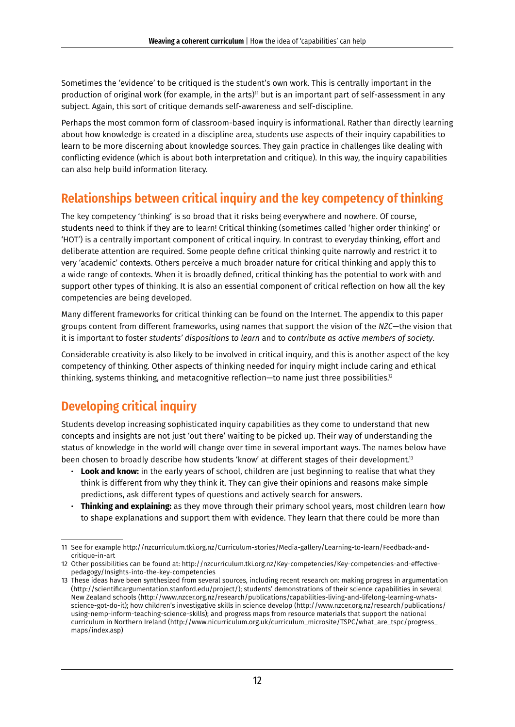<span id="page-17-0"></span>Sometimes the 'evidence' to be critiqued is the student's own work. This is centrally important in the production of original work (for example, in the arts)<sup>11</sup> but is an important part of self-assessment in any subject. Again, this sort of critique demands self-awareness and self-discipline.

Perhaps the most common form of classroom-based inquiry is informational. Rather than directly learning about how knowledge is created in a discipline area, students use aspects of their inquiry capabilities to learn to be more discerning about knowledge sources. They gain practice in challenges like dealing with conflicting evidence (which is about both interpretation and critique). In this way, the inquiry capabilities can also help build information literacy.

# **Relationships between critical inquiry and the key competency of thinking**

The key competency 'thinking' is so broad that it risks being everywhere and nowhere. Of course, students need to think if they are to learn! Critical thinking (sometimes called 'higher order thinking' or 'HOT') is a centrally important component of critical inquiry. In contrast to everyday thinking, effort and deliberate attention are required. Some people define critical thinking quite narrowly and restrict it to very 'academic' contexts. Others perceive a much broader nature for critical thinking and apply this to a wide range of contexts. When it is broadly defined, critical thinking has the potential to work with and support other types of thinking. It is also an essential component of critical reflection on how all the key competencies are being developed.

Many different frameworks for critical thinking can be found on the Internet. The appendix to this paper groups content from different frameworks, using names that support the vision of the *NZC*—the vision that it is important to foster *students' dispositions to learn* and to *contribute as active members of society*.

Considerable creativity is also likely to be involved in critical inquiry, and this is another aspect of the key competency of thinking. Other aspects of thinking needed for inquiry might include caring and ethical thinking, systems thinking, and metacognitive reflection—to name just three possibilities.<sup>12</sup>

# **Developing critical inquiry**

Students develop increasing sophisticated inquiry capabilities as they come to understand that new concepts and insights are not just 'out there' waiting to be picked up. Their way of understanding the status of knowledge in the world will change over time in several important ways. The names below have been chosen to broadly describe how students 'know' at different stages of their development.<sup>13</sup>

- **Look and know:** in the early years of school, children are just beginning to realise that what they think is different from why they think it. They can give their opinions and reasons make simple predictions, ask different types of questions and actively search for answers.
- **Thinking and explaining:** as they move through their primary school years, most children learn how to shape explanations and support them with evidence. They learn that there could be more than

<sup>11</sup> See for example [http://nzcurriculum.tki.org.nz/Curriculum-stories/Media-gallery/Learning-to-learn/Feedback-and](http://nzcurriculum.tki.org.nz/Curriculum-stories/Media-gallery/Learning-to-learn/Feedback-and-critique-in-art)[critique-in-art](http://nzcurriculum.tki.org.nz/Curriculum-stories/Media-gallery/Learning-to-learn/Feedback-and-critique-in-art)

<sup>12</sup> Other possibilities can be found at: [http://nzcurriculum.tki.org.nz/Key-competencies/Key-competencies-and-effective](http://nzcurriculum.tki.org.nz/Key-competencies/Key-competencies-and-effective-pedagogy/Insights-into-the-key-competencies)[pedagogy/Insights-into-the-key-competencies](http://nzcurriculum.tki.org.nz/Key-competencies/Key-competencies-and-effective-pedagogy/Insights-into-the-key-competencies)

<sup>13</sup> These ideas have been synthesized from several sources, including recent research on: making progress in argumentation (<http://scientificargumentation.stanford.edu/project/>); students' demonstrations of their science capabilities in several New Zealand schools [\(http://www.nzcer.org.nz/research/publications/capabilities-living-and-lifelong-learning-whats](http://www.nzcer.org.nz/research/publications/capabilities-living-and-lifelong-learning-whats-science-got-do-it)[science-got-do-it](http://www.nzcer.org.nz/research/publications/capabilities-living-and-lifelong-learning-whats-science-got-do-it)); how children's investigative skills in science develop ([http://www.nzcer.org.nz/research/publications/](file:///C:\Users\rose\Downloads\www.nzcer.org.nz\research\publications\using-nemp-inform-teaching-science-skills) [using-nemp-inform-teaching-science-skills](file:///C:\Users\rose\Downloads\www.nzcer.org.nz\research\publications\using-nemp-inform-teaching-science-skills)); and progress maps from resource materials that support the national curriculum in Northern Ireland ([http://www.nicurriculum.org.uk/curriculum\\_microsite/TSPC/what\\_are\\_tspc/progress\\_](http://www.nicurriculum.org.uk/curriculum_microsite/TSPC/what_are_tspc/progress_maps/index.asp) [maps/index.asp\)](http://www.nicurriculum.org.uk/curriculum_microsite/TSPC/what_are_tspc/progress_maps/index.asp)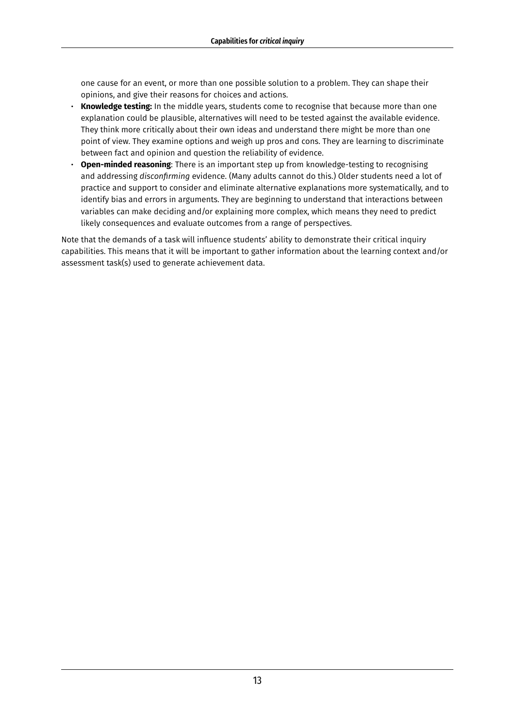one cause for an event, or more than one possible solution to a problem. They can shape their opinions, and give their reasons for choices and actions.

- **Knowledge testing:** In the middle years, students come to recognise that because more than one explanation could be plausible, alternatives will need to be tested against the available evidence. They think more critically about their own ideas and understand there might be more than one point of view. They examine options and weigh up pros and cons. They are learning to discriminate between fact and opinion and question the reliability of evidence.
- **Open-minded reasoning**: There is an important step up from knowledge-testing to recognising and addressing *disconfirming* evidence. (Many adults cannot do this.) Older students need a lot of practice and support to consider and eliminate alternative explanations more systematically, and to identify bias and errors in arguments. They are beginning to understand that interactions between variables can make deciding and/or explaining more complex, which means they need to predict likely consequences and evaluate outcomes from a range of perspectives.

Note that the demands of a task will influence students' ability to demonstrate their critical inquiry capabilities. This means that it will be important to gather information about the learning context and/or assessment task(s) used to generate achievement data.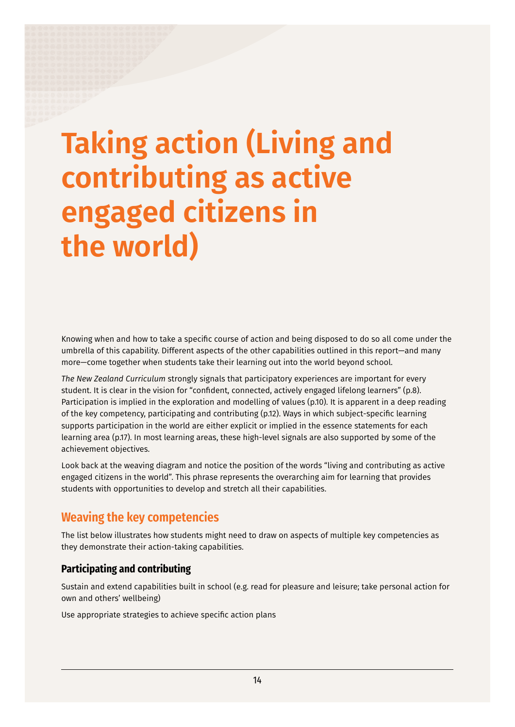# <span id="page-19-0"></span>**Taking action (Living and contributing as active engaged citizens in the world)**

Knowing when and how to take a specific course of action and being disposed to do so all come under the umbrella of this capability. Different aspects of the other capabilities outlined in this report—and many more—come together when students take their learning out into the world beyond school.

*The New Zealand Curriculum* strongly signals that participatory experiences are important for every student. It is clear in the vision for "confident, connected, actively engaged lifelong learners" (p.8). Participation is implied in the exploration and modelling of values (p.10). It is apparent in a deep reading of the key competency, participating and contributing (p.12). Ways in which subject-specific learning supports participation in the world are either explicit or implied in the essence statements for each learning area (p.17). In most learning areas, these high-level signals are also supported by some of the achievement objectives.

Look back at the weaving diagram and notice the position of the words "living and contributing as active engaged citizens in the world". This phrase represents the overarching aim for learning that provides students with opportunities to develop and stretch all their capabilities.

# **Weaving the key competencies**

The list below illustrates how students might need to draw on aspects of multiple key competencies as they demonstrate their action-taking capabilities.

## **Participating and contributing**

Sustain and extend capabilities built in school (e.g. read for pleasure and leisure; take personal action for own and others' wellbeing)

Use appropriate strategies to achieve specific action plans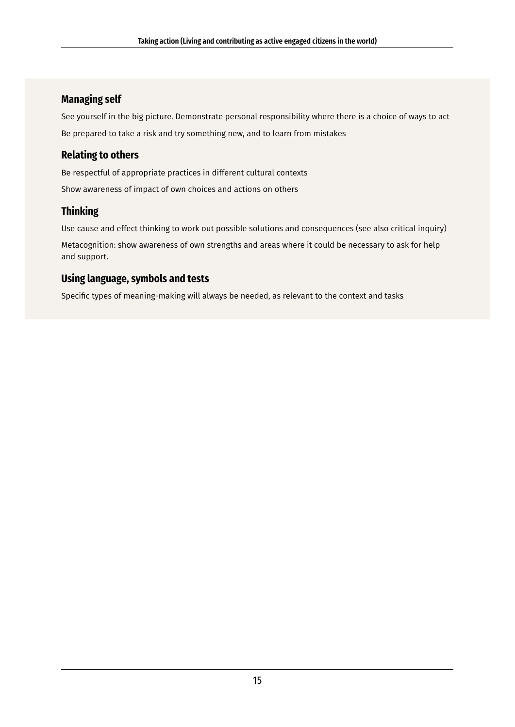## **Managing self**

See yourself in the big picture. Demonstrate personal responsibility where there is a choice of ways to act Be prepared to take a risk and try something new, and to learn from mistakes

## **Relating to others**

Be respectful of appropriate practices in different cultural contexts Show awareness of impact of own choices and actions on others

## **Thinking**

Use cause and effect thinking to work out possible solutions and consequences (see also critical inquiry)

Metacognition: show awareness of own strengths and areas where it could be necessary to ask for help and support.

## **Using language, symbols and tests**

Specific types of meaning-making will always be needed, as relevant to the context and tasks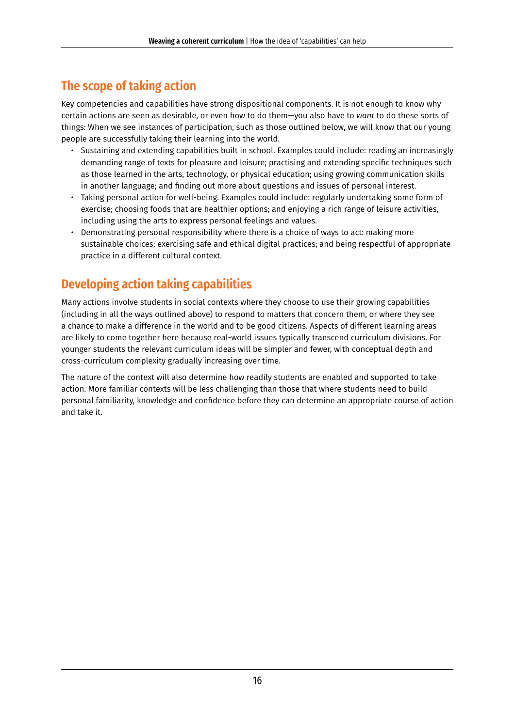# <span id="page-21-0"></span>**The scope of taking action**

Key competencies and capabilities have strong dispositional components. It is not enough to know why certain actions are seen as desirable, or even how to do them—you also have to *want* to do these sorts of things: When we see instances of participation, such as those outlined below, we will know that our young people are successfully taking their learning into the world.

- Sustaining and extending capabilities built in school. Examples could include: reading an increasingly demanding range of texts for pleasure and leisure; practising and extending specific techniques such as those learned in the arts, technology, or physical education; using growing communication skills in another language; and finding out more about questions and issues of personal interest.
- Taking personal action for well-being. Examples could include: regularly undertaking some form of exercise; choosing foods that are healthier options; and enjoying a rich range of leisure activities, including using the arts to express personal feelings and values.
- Demonstrating personal responsibility where there is a choice of ways to act: making more sustainable choices; exercising safe and ethical digital practices; and being respectful of appropriate practice in a different cultural context.

# **Developing action taking capabilities**

Many actions involve students in social contexts where they choose to use their growing capabilities (including in all the ways outlined above) to respond to matters that concern them, or where they see a chance to make a difference in the world and to be good citizens. Aspects of different learning areas are likely to come together here because real-world issues typically transcend curriculum divisions. For younger students the relevant curriculum ideas will be simpler and fewer, with conceptual depth and cross-curriculum complexity gradually increasing over time.

The nature of the context will also determine how readily students are enabled and supported to take action. More familiar contexts will be less challenging than those that where students need to build personal familiarity, knowledge and confidence before they can determine an appropriate course of action and take it.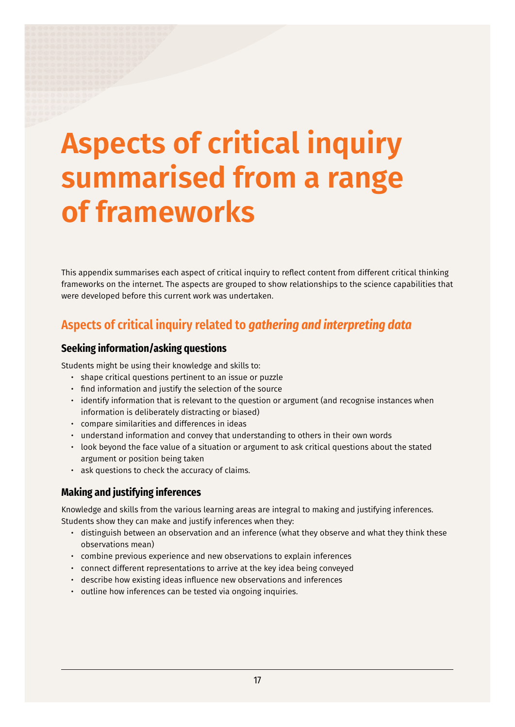# <span id="page-22-0"></span>**Aspects of critical inquiry summarised from a range of frameworks**

This appendix summarises each aspect of critical inquiry to reflect content from different critical thinking frameworks on the internet. The aspects are grouped to show relationships to the science capabilities that were developed before this current work was undertaken.

# **Aspects of critical inquiry related to** *gathering and interpreting data*

#### **Seeking information/asking questions**

Students might be using their knowledge and skills to:

- shape critical questions pertinent to an issue or puzzle
- find information and justify the selection of the source
- identify information that is relevant to the question or argument (and recognise instances when information is deliberately distracting or biased)
- compare similarities and differences in ideas
- understand information and convey that understanding to others in their own words
- look beyond the face value of a situation or argument to ask critical questions about the stated argument or position being taken
- ask questions to check the accuracy of claims.

## **Making and justifying inferences**

Knowledge and skills from the various learning areas are integral to making and justifying inferences. Students show they can make and justify inferences when they:

- distinguish between an observation and an inference (what they observe and what they think these observations mean)
- combine previous experience and new observations to explain inferences
- connect different representations to arrive at the key idea being conveyed
- describe how existing ideas influence new observations and inferences
- outline how inferences can be tested via ongoing inquiries.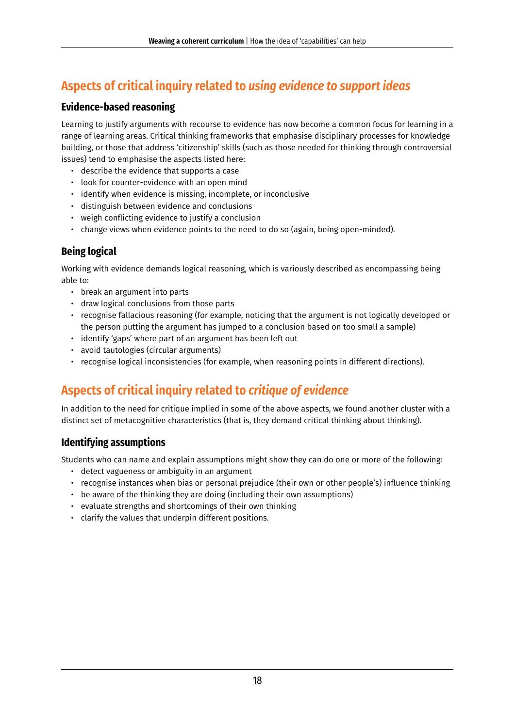# <span id="page-23-0"></span>**Aspects of critical inquiry related to** *using evidence to support ideas*

### **Evidence-based reasoning**

Learning to justify arguments with recourse to evidence has now become a common focus for learning in a range of learning areas. Critical thinking frameworks that emphasise disciplinary processes for knowledge building, or those that address 'citizenship' skills (such as those needed for thinking through controversial issues) tend to emphasise the aspects listed here:

- describe the evidence that supports a case
- look for counter-evidence with an open mind
- identify when evidence is missing, incomplete, or inconclusive
- distinguish between evidence and conclusions
- weigh conflicting evidence to justify a conclusion
- change views when evidence points to the need to do so (again, being open-minded).

## **Being logical**

Working with evidence demands logical reasoning, which is variously described as encompassing being able to:

- break an argument into parts
- draw logical conclusions from those parts
- recognise fallacious reasoning (for example, noticing that the argument is not logically developed or the person putting the argument has jumped to a conclusion based on too small a sample)
- identify 'gaps' where part of an argument has been left out
- avoid tautologies (circular arguments)
- recognise logical inconsistencies (for example, when reasoning points in different directions).

# **Aspects of critical inquiry related to** *critique of evidence*

In addition to the need for critique implied in some of the above aspects, we found another cluster with a distinct set of metacognitive characteristics (that is, they demand critical thinking about thinking).

### **Identifying assumptions**

Students who can name and explain assumptions might show they can do one or more of the following:

- detect vagueness or ambiguity in an argument
- recognise instances when bias or personal prejudice (their own or other people's) influence thinking
- be aware of the thinking they are doing (including their own assumptions)
- evaluate strengths and shortcomings of their own thinking
- clarify the values that underpin different positions.